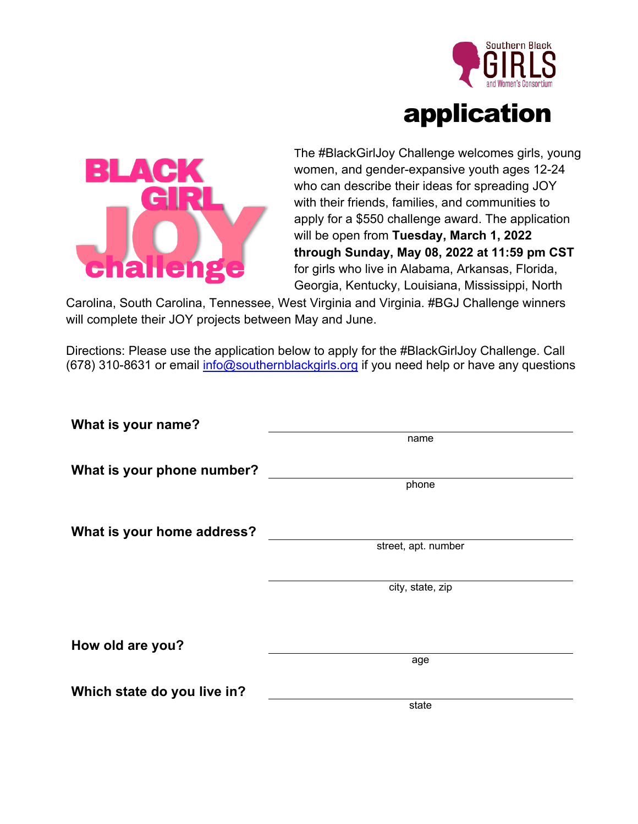



The #BlackGirlJoy Challenge welcomes girls, young women, and gender-expansive youth ages 12-24 who can describe their ideas for spreading JOY with their friends, families, and communities to apply for a \$550 challenge award. The application will be open from **Tuesday, March 1, 2022 through Sunday, May 08, 2022 at 11:59 pm CST** for girls who live in Alabama, Arkansas, Florida, Georgia, Kentucky, Louisiana, Mississippi, North

Carolina, South Carolina, Tennessee, West Virginia and Virginia. #BGJ Challenge winners will complete their JOY projects between May and June.

Directions: Please use the application below to apply for the #BlackGirlJoy Challenge. Call: (678) 310-8631 or email info@southernblackgirls.org if you need help or have any questions

| What is your name?          |                     |
|-----------------------------|---------------------|
|                             | name                |
| What is your phone number?  |                     |
|                             | phone               |
|                             |                     |
| What is your home address?  |                     |
|                             | street, apt. number |
|                             |                     |
|                             | city, state, zip    |
|                             |                     |
|                             |                     |
| How old are you?            |                     |
|                             | age                 |
| Which state do you live in? |                     |
|                             | state               |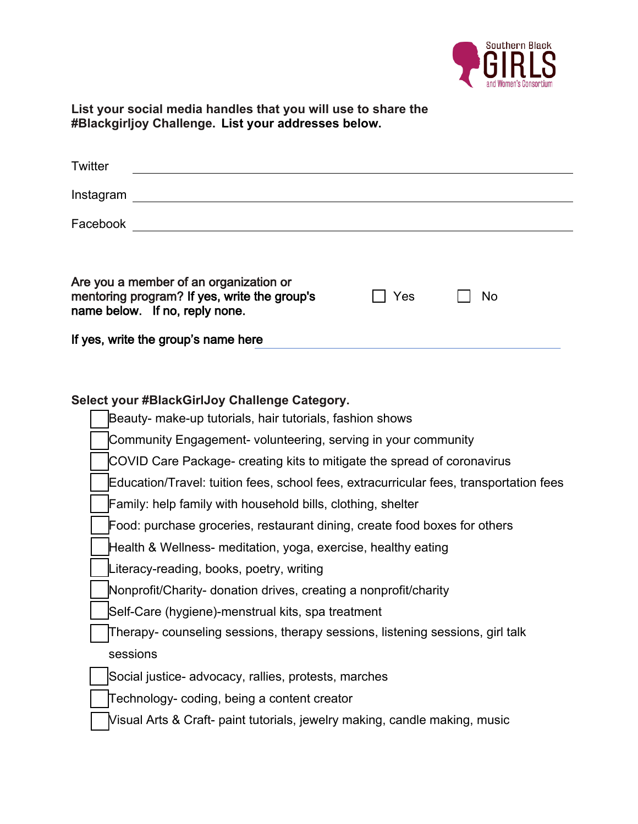

**List your social media handles that you will use to share the #Blackgirljoy Challenge. List your addresses below.**

| Twitter                                                                                                                  |     |    |
|--------------------------------------------------------------------------------------------------------------------------|-----|----|
| Instagram                                                                                                                |     |    |
| Facebook                                                                                                                 |     |    |
|                                                                                                                          |     |    |
| Are you a member of an organization or<br>mentoring program? If yes, write the group's<br>name below. If no, reply none. | Yes | No |

If yes, write the group's name here

## **Select your #BlackGirlJoy Challenge Category.**

| Beauty- make-up tutorials, hair tutorials, fashion shows                               |
|----------------------------------------------------------------------------------------|
| Community Engagement- volunteering, serving in your community                          |
| COVID Care Package- creating kits to mitigate the spread of coronavirus                |
| Education/Travel: tuition fees, school fees, extracurricular fees, transportation fees |
| Family: help family with household bills, clothing, shelter                            |
| Food: purchase groceries, restaurant dining, create food boxes for others              |
| Health & Wellness- meditation, yoga, exercise, healthy eating                          |
| Literacy-reading, books, poetry, writing                                               |
| Nonprofit/Charity- donation drives, creating a nonprofit/charity                       |
| Self-Care (hygiene)-menstrual kits, spa treatment                                      |
| Therapy- counseling sessions, therapy sessions, listening sessions, girl talk          |
| sessions                                                                               |
| Social justice- advocacy, rallies, protests, marches                                   |
| Technology- coding, being a content creator                                            |
| Visual Arts & Craft- paint tutorials, jewelry making, candle making, music             |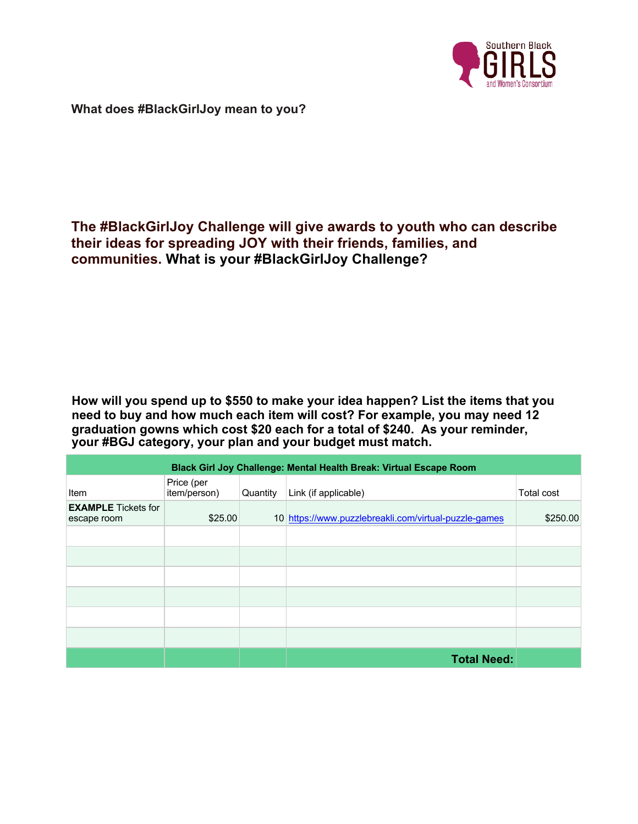

**What does #BlackGirlJoy mean to you?**

## **The #BlackGirlJoy Challenge will give awards to youth who can describe their ideas for spreading JOY with their friends, families, and communities. What is your #BlackGirlJoy Challenge?**

**How will you spend up to \$550 to make your idea happen? List the items that you need to buy and how much each item will cost? For example, you may need 12 graduation gowns which cost \$20 each for a total of \$240. As your reminder, your #BGJ category, your plan and your budget must match.** 

| Black Girl Joy Challenge: Mental Health Break: Virtual Escape Room |                            |          |                                                       |            |  |  |  |
|--------------------------------------------------------------------|----------------------------|----------|-------------------------------------------------------|------------|--|--|--|
| Item                                                               | Price (per<br>item/person) | Quantity | Link (if applicable)                                  | Total cost |  |  |  |
| <b>EXAMPLE</b> Tickets for<br>escape room                          | \$25.00                    |          | 10 https://www.puzzlebreakli.com/virtual-puzzle-games | \$250.00   |  |  |  |
|                                                                    |                            |          |                                                       |            |  |  |  |
|                                                                    |                            |          |                                                       |            |  |  |  |
|                                                                    |                            |          |                                                       |            |  |  |  |
|                                                                    |                            |          |                                                       |            |  |  |  |
|                                                                    |                            |          |                                                       |            |  |  |  |
|                                                                    |                            |          |                                                       |            |  |  |  |
|                                                                    |                            |          | <b>Total Need:</b>                                    |            |  |  |  |